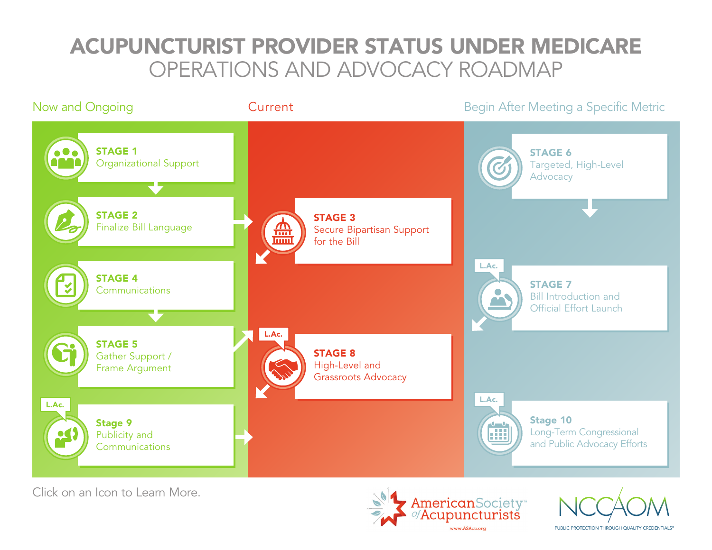### <span id="page-0-0"></span>ACUPUNCTURIST PROVIDER STATUS UNDER MEDICARE OPERATIONS AND ADVOCACY ROADMAP



Click on an Icon to Learn More.



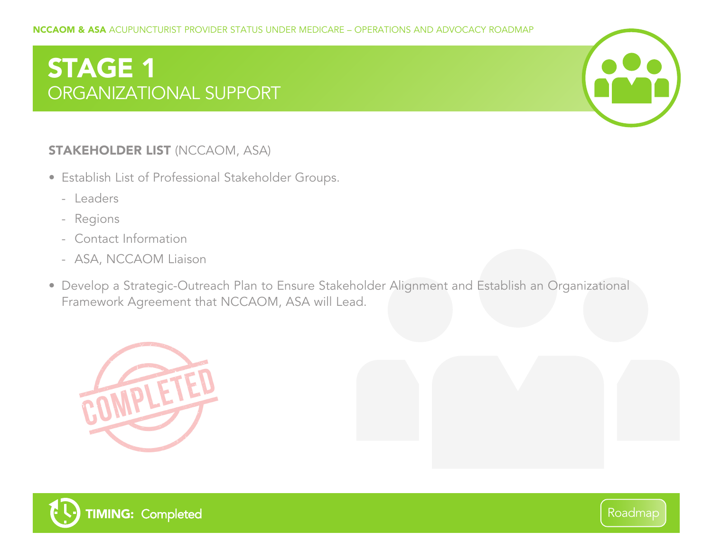# <span id="page-1-0"></span>STAGE 1 ORGANIZATIONAL SUPPORT



- Establish List of Professional Stakeholder Groups.
	- Leaders
	- Regions
	- Contact Information
	- ASA, NCCAOM Liaison
- Develop a Strategic-Outreach Plan to Ensure Stakeholder Alignment and Establish an Organizational Framework Agreement that NCCAOM, ASA will Lead.





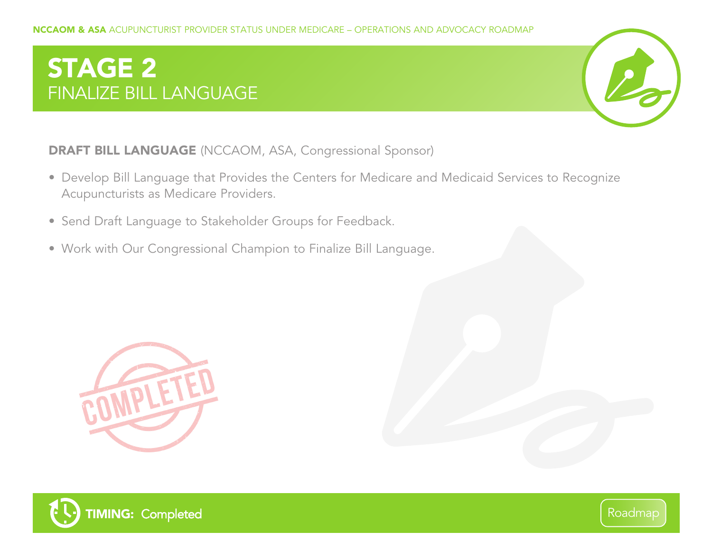# <span id="page-2-0"></span>STAGE 2 FINALIZE BILL LANGUAGE



DRAFT BILL LANGUAGE (NCCAOM, ASA, Congressional Sponsor)

- Develop Bill Language that Provides the Centers for Medicare and Medicaid Services to Recognize Acupuncturists as Medicare Providers.
- Send Draft Language to Stakeholder Groups for Feedback.
- Work with Our Congressional Champion to Finalize Bill Language.





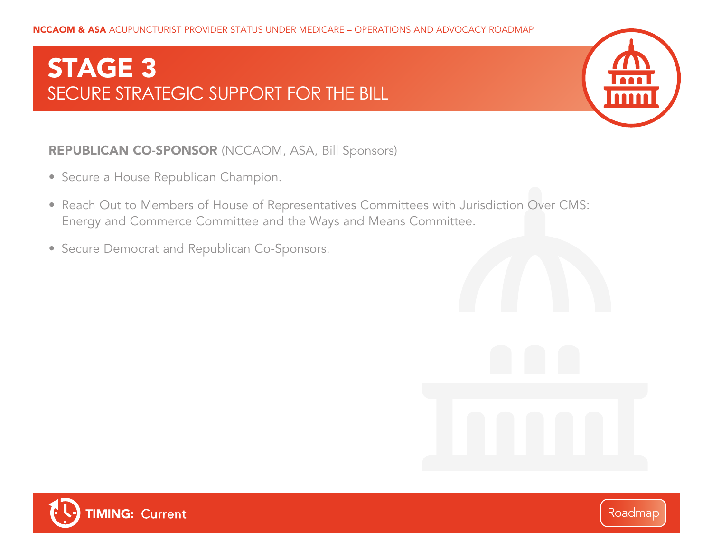## <span id="page-3-0"></span>STAGE 3 SECURE STRATEGIC SUPPORT FOR THE BILL



#### REPUBLICAN CO-SPONSOR (NCCAOM, ASA, Bill Sponsors)

- Secure a House Republican Champion.
- Reach Out to Members of House of Representatives Committees with Jurisdiction Over CMS: Energy and Commerce Committee and the Ways and Means Committee.
- Secure Democrat and Republican Co-Sponsors.



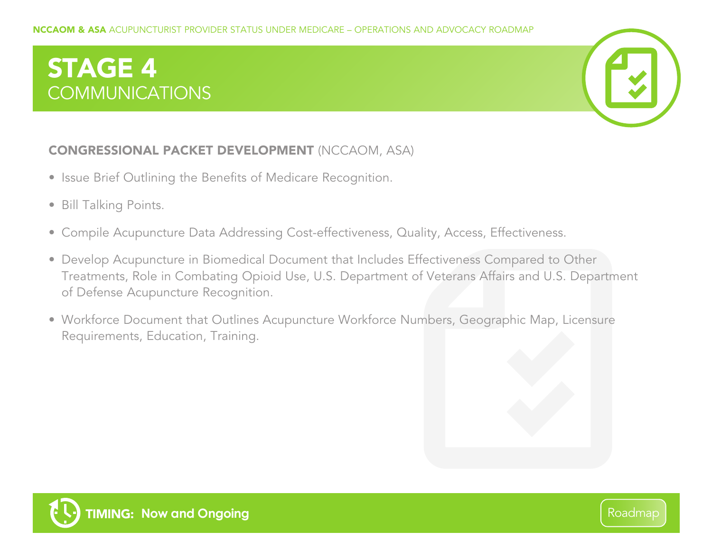# <span id="page-4-0"></span>STAGE 4 COMMUNICATIONS



#### CONGRESSIONAL PACKET DEVELOPMENT (NCCAOM, ASA)

- Issue Brief Outlining the Benefits of Medicare Recognition.
- Bill Talking Points.
- Compile Acupuncture Data Addressing Cost-effectiveness, Quality, Access, Effectiveness.
- Develop Acupuncture in Biomedical Document that Includes Effectiveness Compared to Other Treatments, Role in Combating Opioid Use, U.S. Department of Veterans Affairs and U.S. Department of Defense Acupuncture Recognition.
- Workforce Document that Outlines Acupuncture Workforce Numbers, Geographic Map, Licensure Requirements, Education, Training.

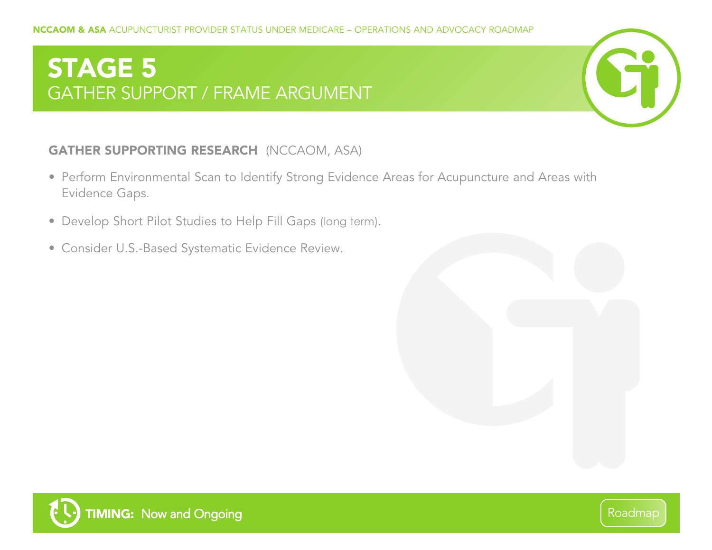## <span id="page-5-0"></span>STAGE 5 GATHER SUPPORT / FRAME ARGUMENT



#### GATHER SUPPORTING RESEARCH (NCCAOM, ASA)

- Perform Environmental Scan to Identify Strong Evidence Areas for Acupuncture and Areas with Evidence Gaps.
- Develop Short Pilot Studies to Help Fill Gaps (long term).
- Consider U.S.-Based Systematic Evidence Review.



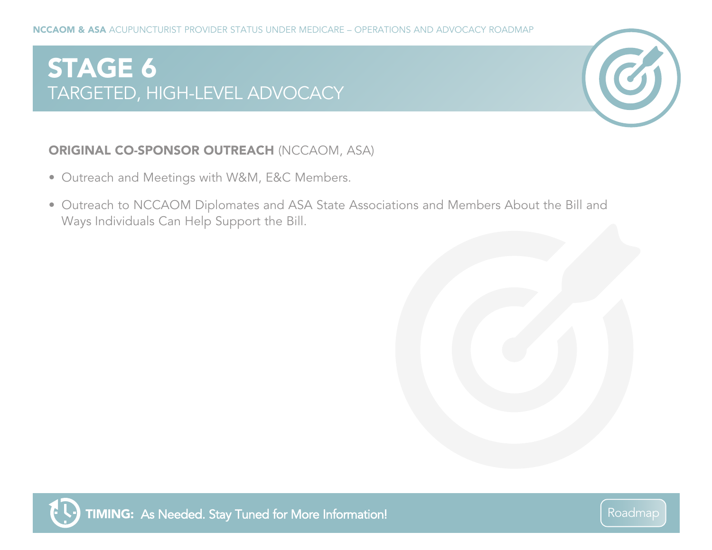## <span id="page-6-0"></span>STAGE 6 TARGETED, HIGH-LEVEL ADVOCACY



#### ORIGINAL CO-SPONSOR OUTREACH (NCCAOM, ASA)

- Outreach and Meetings with W&M, E&C Members.
- Outreach to NCCAOM Diplomates and ASA State Associations and Members About the Bill and Ways Individuals Can Help Support the Bill.

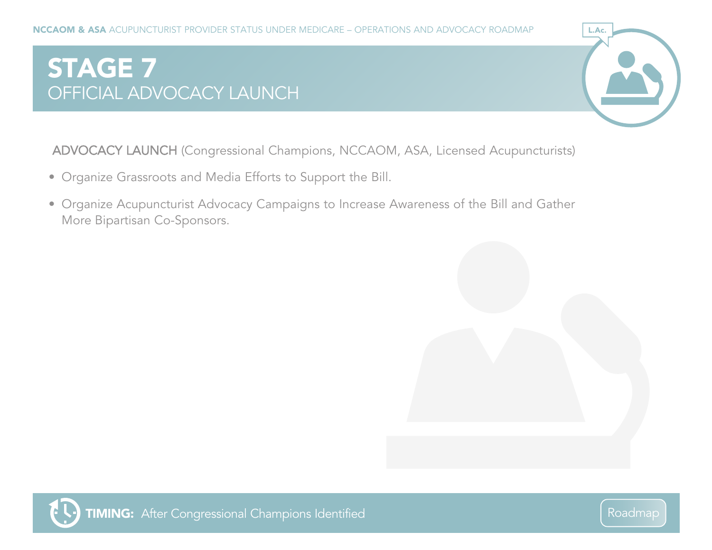# <span id="page-7-0"></span>STAGE 7 OFFICIAL ADVOCACY LAUNCH



ADVOCACY LAUNCH (Congressional Champions, NCCAOM, ASA, Licensed Acupuncturists)

- Organize Grassroots and Media Efforts to Support the Bill.
- Organize Acupuncturist Advocacy Campaigns to Increase Awareness of the Bill and Gather More Bipartisan Co-Sponsors.



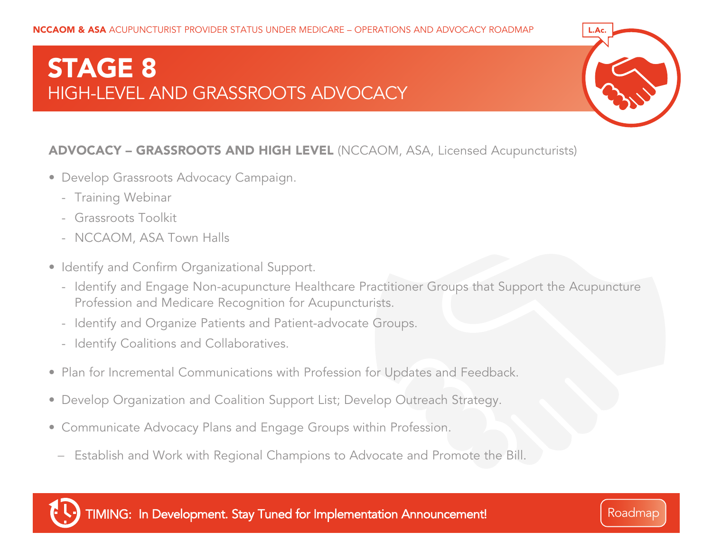### <span id="page-8-0"></span>STAGE 8 HIGH-LEVEL AND GRASSROOTS ADVOCACY



#### ADVOCACY – GRASSROOTS AND HIGH LEVEL (NCCAOM, ASA, Licensed Acupuncturists)

- Develop Grassroots Advocacy Campaign.
	- Training Webinar
	- Grassroots Toolkit
	- NCCAOM, ASA Town Halls
- Identify and Confirm Organizational Support.
	- Identify and Engage Non-acupuncture Healthcare Practitioner Groups that Support the Acupuncture Profession and Medicare Recognition for Acupuncturists.
	- Identify and Organize Patients and Patient-advocate Groups.
	- Identify Coalitions and Collaboratives.
- Plan for Incremental Communications with Profession for Updates and Feedback.
- Develop Organization and Coalition Support List; Develop Outreach Strategy.
- Communicate Advocacy Plans and Engage Groups within Profession.
- − Establish and Work with Regional Champions to Advocate and Promote the Bill.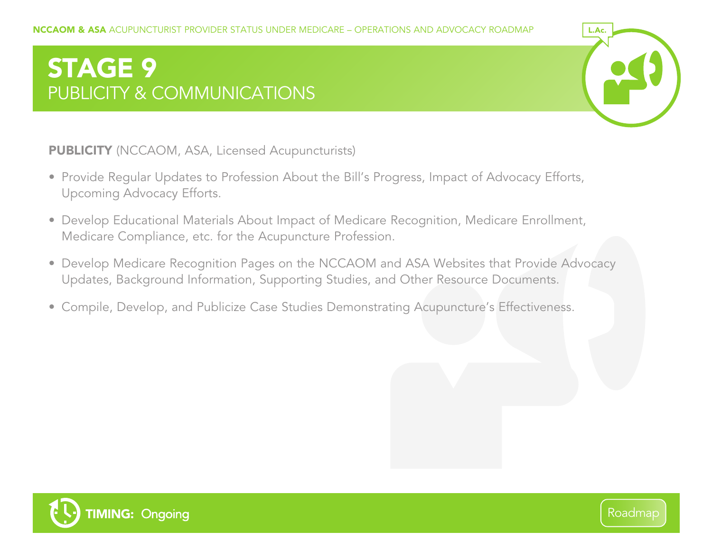# <span id="page-9-0"></span>STAGE 9 PUBLICITY & COMMUNICATIONS



PUBLICITY (NCCAOM, ASA, Licensed Acupuncturists)

- Provide Regular Updates to Profession About the Bill's Progress, Impact of Advocacy Efforts, Upcoming Advocacy Efforts.
- Develop Educational Materials About Impact of Medicare Recognition, Medicare Enrollment, Medicare Compliance, etc. for the Acupuncture Profession.
- Develop Medicare Recognition Pages on the NCCAOM and ASA Websites that Provide Advocacy Updates, Background Information, Supporting Studies, and Other Resource Documents.
- Compile, Develop, and Publicize Case Studies Demonstrating Acupuncture's Effectiveness.